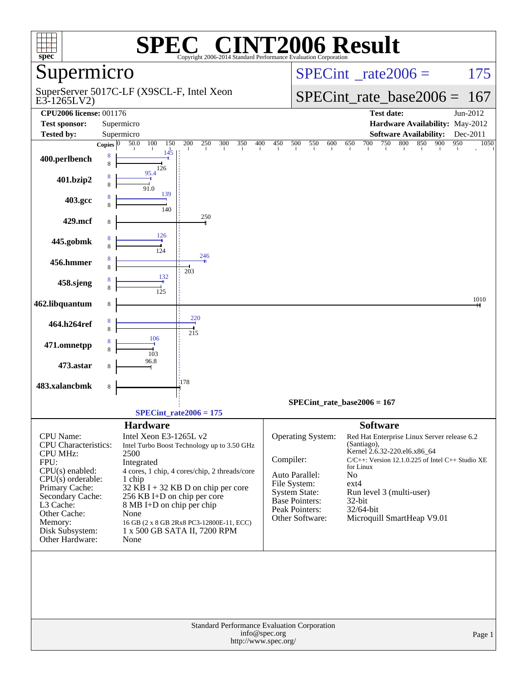| $spec^*$                                        |                    |                                                                       | $\blacksquare$          |            |                                       | <b>INT2006 Result</b><br>Copyright 2006-2014 Standard Performance Evaluation Corporation |                                          |                                                                                       |                    |
|-------------------------------------------------|--------------------|-----------------------------------------------------------------------|-------------------------|------------|---------------------------------------|------------------------------------------------------------------------------------------|------------------------------------------|---------------------------------------------------------------------------------------|--------------------|
| Supermicro                                      |                    |                                                                       |                         |            |                                       |                                                                                          | $SPECint^{\circ}$ <sub>_rate2006</sub> = |                                                                                       | 175                |
| E3-1265LV2)                                     |                    | SuperServer 5017C-LF (X9SCL-F, Intel Xeon                             |                         |            |                                       |                                                                                          |                                          | $SPECint_rate_base2006 =$                                                             | 167                |
| <b>CPU2006 license: 001176</b>                  |                    |                                                                       |                         |            |                                       |                                                                                          |                                          | <b>Test date:</b>                                                                     | Jun-2012           |
| <b>Test sponsor:</b>                            |                    | Supermicro                                                            |                         |            |                                       |                                                                                          |                                          | Hardware Availability: May-2012                                                       |                    |
| <b>Tested by:</b>                               |                    | Supermicro                                                            |                         |            |                                       |                                                                                          |                                          | <b>Software Availability:</b>                                                         | Dec-2011           |
|                                                 | Copies $\boxed{0}$ | 100<br>150<br>50.0                                                    | $\overline{200}$<br>250 | 300<br>350 | 400<br>450                            | 550<br>500<br>600                                                                        | 700<br>650                               | 750<br>800<br>850                                                                     | 900<br>950<br>1050 |
| 400.perlbench                                   | 8<br>8             | 145<br>126                                                            |                         |            |                                       |                                                                                          |                                          |                                                                                       |                    |
| 401.bzip2                                       |                    | 95.4<br>91.0                                                          |                         |            |                                       |                                                                                          |                                          |                                                                                       |                    |
| 403.gcc                                         |                    | 139<br>140                                                            |                         |            |                                       |                                                                                          |                                          |                                                                                       |                    |
| 429.mcf                                         | 8                  | 126                                                                   | 250                     |            |                                       |                                                                                          |                                          |                                                                                       |                    |
| 445.gobmk                                       |                    | 124                                                                   | 246                     |            |                                       |                                                                                          |                                          |                                                                                       |                    |
| 456.hmmer                                       |                    | 132                                                                   | 203                     |            |                                       |                                                                                          |                                          |                                                                                       |                    |
| 458.sjeng                                       |                    | 125                                                                   |                         |            |                                       |                                                                                          |                                          |                                                                                       |                    |
| 462.libquantum                                  | 8                  |                                                                       | $\frac{220}{4}$         |            |                                       |                                                                                          |                                          |                                                                                       | 1010               |
| 464.h264ref                                     |                    | 106                                                                   | 215                     |            |                                       |                                                                                          |                                          |                                                                                       |                    |
| 471.omnetpp                                     |                    | 103<br>96.8                                                           |                         |            |                                       |                                                                                          |                                          |                                                                                       |                    |
| 473.astar                                       |                    |                                                                       | 178                     |            |                                       |                                                                                          |                                          |                                                                                       |                    |
| 483.xalancbmk                                   | 8                  |                                                                       |                         |            |                                       |                                                                                          |                                          |                                                                                       |                    |
|                                                 |                    |                                                                       |                         |            |                                       |                                                                                          | $SPECint_rate_base2006 = 167$            |                                                                                       |                    |
|                                                 |                    | $SPECint_rate2006 = 175$                                              |                         |            |                                       |                                                                                          |                                          |                                                                                       |                    |
|                                                 |                    | <b>Hardware</b>                                                       |                         |            |                                       |                                                                                          | <b>Software</b>                          |                                                                                       |                    |
| <b>CPU</b> Name:<br><b>CPU</b> Characteristics: |                    | Intel Xeon E3-1265L v2<br>Intel Turbo Boost Technology up to 3.50 GHz |                         |            |                                       | Operating System:                                                                        | (Santiago),                              | Red Hat Enterprise Linux Server release 6.2                                           |                    |
| <b>CPU MHz:</b>                                 |                    | 2500                                                                  |                         |            |                                       | Compiler:                                                                                |                                          | Kernel 2.6.32-220.el6.x86_64<br>$C/C++$ : Version 12.1.0.225 of Intel $C++$ Studio XE |                    |
| FPU:<br>CPU(s) enabled:                         |                    | Integrated<br>4 cores, 1 chip, 4 cores/chip, 2 threads/core           |                         |            |                                       |                                                                                          | for Linux                                |                                                                                       |                    |
| $CPU(s)$ orderable:                             |                    | 1 chip                                                                |                         |            |                                       | Auto Parallel:                                                                           | N <sub>o</sub>                           |                                                                                       |                    |
| Primary Cache:                                  |                    | $32$ KB I + 32 KB D on chip per core                                  |                         |            |                                       | File System:<br><b>System State:</b>                                                     | ext4                                     | Run level 3 (multi-user)                                                              |                    |
| Secondary Cache:<br>L3 Cache:                   |                    | 256 KB I+D on chip per core<br>8 MB I+D on chip per chip              |                         |            |                                       | <b>Base Pointers:</b>                                                                    | $32$ -bit                                |                                                                                       |                    |
| Other Cache:                                    |                    | None                                                                  |                         |            |                                       | Peak Pointers:                                                                           | 32/64-bit                                |                                                                                       |                    |
| Memory:                                         |                    | 16 GB (2 x 8 GB 2Rx8 PC3-12800E-11, ECC)                              |                         |            |                                       | Other Software:                                                                          |                                          | Microquill SmartHeap V9.01                                                            |                    |
| Disk Subsystem:<br>Other Hardware:              |                    | 1 x 500 GB SATA II, 7200 RPM<br>None                                  |                         |            |                                       |                                                                                          |                                          |                                                                                       |                    |
|                                                 |                    |                                                                       |                         |            |                                       | Standard Performance Evaluation Corporation                                              |                                          |                                                                                       |                    |
|                                                 |                    |                                                                       |                         |            | info@spec.org<br>http://www.spec.org/ |                                                                                          |                                          |                                                                                       | Page 1             |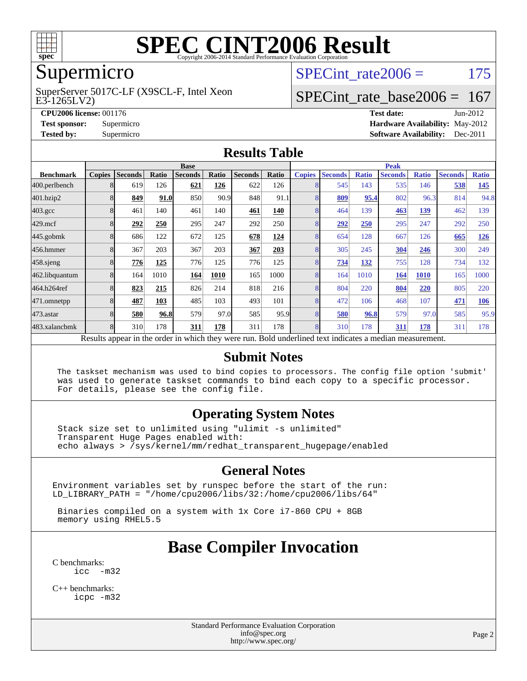

## Supermicro

E3-1265LV2) SuperServer 5017C-LF (X9SCL-F, Intel Xeon SPECint rate $2006 = 175$ 

## [SPECint\\_rate\\_base2006 =](http://www.spec.org/auto/cpu2006/Docs/result-fields.html#SPECintratebase2006) 167

**[CPU2006 license:](http://www.spec.org/auto/cpu2006/Docs/result-fields.html#CPU2006license)** 001176 **[Test date:](http://www.spec.org/auto/cpu2006/Docs/result-fields.html#Testdate)** Jun-2012 **[Test sponsor:](http://www.spec.org/auto/cpu2006/Docs/result-fields.html#Testsponsor)** Supermicro **[Hardware Availability:](http://www.spec.org/auto/cpu2006/Docs/result-fields.html#HardwareAvailability)** May-2012 **[Tested by:](http://www.spec.org/auto/cpu2006/Docs/result-fields.html#Testedby)** Supermicro **Supermicro [Software Availability:](http://www.spec.org/auto/cpu2006/Docs/result-fields.html#SoftwareAvailability)** Dec-2011

#### **[Results Table](http://www.spec.org/auto/cpu2006/Docs/result-fields.html#ResultsTable)**

|                                                                                                          | <b>Base</b>   |                |       |                |       |                |       | <b>Peak</b>   |                |              |                |              |                |              |  |
|----------------------------------------------------------------------------------------------------------|---------------|----------------|-------|----------------|-------|----------------|-------|---------------|----------------|--------------|----------------|--------------|----------------|--------------|--|
| <b>Benchmark</b>                                                                                         | <b>Copies</b> | <b>Seconds</b> | Ratio | <b>Seconds</b> | Ratio | <b>Seconds</b> | Ratio | <b>Copies</b> | <b>Seconds</b> | <b>Ratio</b> | <b>Seconds</b> | <b>Ratio</b> | <b>Seconds</b> | <b>Ratio</b> |  |
| 400.perlbench                                                                                            | 8             | 619            | 126   | 621            | 126   | 622            | 126   |               | 545            | 143          | 535            | 146          | 538            | <u>145</u>   |  |
| 401.bzip2                                                                                                |               | 849            | 91.0  | 850            | 90.9  | 848            | 91.1  |               | 809            | 95.4         | 802            | 96.3         | 814            | 94.8         |  |
| $403.\mathrm{gcc}$                                                                                       | 8             | 461            | 140   | 461            | 140   | 461            | 140   |               | 464            | 139          | 463            | 139          | 462            | 139          |  |
| $429$ .mcf                                                                                               | 8             | 292            | 250   | 295            | 247   | 292            | 250   |               | 292            | 250          | 295            | 247          | 292            | 250          |  |
| $445$ .gobm $k$                                                                                          |               | 686            | 122   | 672            | 125   | 678            | 124   |               | 654            | 128          | 667            | 126          | 665            | 126          |  |
| 456.hmmer                                                                                                |               | 367            | 203   | 367            | 203   | 367            | 203   |               | 305            | 245          | 304            | 246          | 300            | 249          |  |
| $458$ .sjeng                                                                                             | 8             | 776            | 125   | 776            | 125   | 776            | 125   |               | 734            | 132          | 755            | 128          | 734            | 132          |  |
| 462.libquantum                                                                                           |               | 164            | 1010  | 164            | 1010  | 165            | 1000  |               | 164            | 1010         | 164            | 1010         | 165            | 1000         |  |
| 464.h264ref                                                                                              |               | 823            | 215   | 826            | 214   | 818            | 216   |               | 804            | 220          | 804            | 220          | 805            | 220          |  |
| 471.omnetpp                                                                                              | 8             | 487            | 103   | 485            | 103   | 493            | 101   | 8             | 472            | 106          | 468            | 107          | 471            | 106          |  |
| $473.$ astar                                                                                             | 8             | 580            | 96.8  | 579            | 97.0  | 585            | 95.9  |               | 580            | 96.8         | 579            | 97.0         | 585            | 95.9         |  |
| 483.xalancbmk                                                                                            | 8             | 310            | 178   | 311            | 178   | 311            | 178   | $\mathsf{R}$  | 310            | 178          | 311            | 178          | 311            | 178          |  |
| Results appear in the order in which they were run. Bold underlined text indicates a median measurement. |               |                |       |                |       |                |       |               |                |              |                |              |                |              |  |

#### **[Submit Notes](http://www.spec.org/auto/cpu2006/Docs/result-fields.html#SubmitNotes)**

 The taskset mechanism was used to bind copies to processors. The config file option 'submit' was used to generate taskset commands to bind each copy to a specific processor. For details, please see the config file.

#### **[Operating System Notes](http://www.spec.org/auto/cpu2006/Docs/result-fields.html#OperatingSystemNotes)**

 Stack size set to unlimited using "ulimit -s unlimited" Transparent Huge Pages enabled with: echo always > /sys/kernel/mm/redhat\_transparent\_hugepage/enabled

#### **[General Notes](http://www.spec.org/auto/cpu2006/Docs/result-fields.html#GeneralNotes)**

Environment variables set by runspec before the start of the run: LD\_LIBRARY\_PATH = "/home/cpu2006/libs/32:/home/cpu2006/libs/64"

 Binaries compiled on a system with 1x Core i7-860 CPU + 8GB memory using RHEL5.5

## **[Base Compiler Invocation](http://www.spec.org/auto/cpu2006/Docs/result-fields.html#BaseCompilerInvocation)**

[C benchmarks](http://www.spec.org/auto/cpu2006/Docs/result-fields.html#Cbenchmarks):  $inc -m32$ 

[C++ benchmarks:](http://www.spec.org/auto/cpu2006/Docs/result-fields.html#CXXbenchmarks) [icpc -m32](http://www.spec.org/cpu2006/results/res2012q3/cpu2006-20120618-23036.flags.html#user_CXXbase_intel_icpc_4e5a5ef1a53fd332b3c49e69c3330699)

> Standard Performance Evaluation Corporation [info@spec.org](mailto:info@spec.org) <http://www.spec.org/>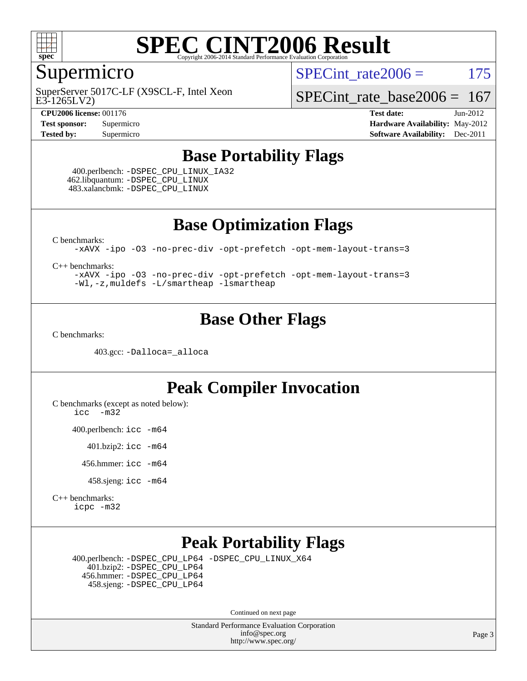

### Supermicro

E3-1265LV2) SuperServer 5017C-LF (X9SCL-F, Intel Xeon

**[CPU2006 license:](http://www.spec.org/auto/cpu2006/Docs/result-fields.html#CPU2006license)** 001176 **[Test date:](http://www.spec.org/auto/cpu2006/Docs/result-fields.html#Testdate)** Jun-2012

SPECint rate $2006 = 175$ 

[SPECint\\_rate\\_base2006 =](http://www.spec.org/auto/cpu2006/Docs/result-fields.html#SPECintratebase2006)  $167$ 

**[Test sponsor:](http://www.spec.org/auto/cpu2006/Docs/result-fields.html#Testsponsor)** Supermicro **[Hardware Availability:](http://www.spec.org/auto/cpu2006/Docs/result-fields.html#HardwareAvailability)** May-2012 **[Tested by:](http://www.spec.org/auto/cpu2006/Docs/result-fields.html#Testedby)** Supermicro **Supermicro [Software Availability:](http://www.spec.org/auto/cpu2006/Docs/result-fields.html#SoftwareAvailability)** Dec-2011

#### **[Base Portability Flags](http://www.spec.org/auto/cpu2006/Docs/result-fields.html#BasePortabilityFlags)**

 400.perlbench: [-DSPEC\\_CPU\\_LINUX\\_IA32](http://www.spec.org/cpu2006/results/res2012q3/cpu2006-20120618-23036.flags.html#b400.perlbench_baseCPORTABILITY_DSPEC_CPU_LINUX_IA32) 462.libquantum: [-DSPEC\\_CPU\\_LINUX](http://www.spec.org/cpu2006/results/res2012q3/cpu2006-20120618-23036.flags.html#b462.libquantum_baseCPORTABILITY_DSPEC_CPU_LINUX) 483.xalancbmk: [-DSPEC\\_CPU\\_LINUX](http://www.spec.org/cpu2006/results/res2012q3/cpu2006-20120618-23036.flags.html#b483.xalancbmk_baseCXXPORTABILITY_DSPEC_CPU_LINUX)

**[Base Optimization Flags](http://www.spec.org/auto/cpu2006/Docs/result-fields.html#BaseOptimizationFlags)**

[C benchmarks](http://www.spec.org/auto/cpu2006/Docs/result-fields.html#Cbenchmarks):

[-xAVX](http://www.spec.org/cpu2006/results/res2012q3/cpu2006-20120618-23036.flags.html#user_CCbase_f-xAVX) [-ipo](http://www.spec.org/cpu2006/results/res2012q3/cpu2006-20120618-23036.flags.html#user_CCbase_f-ipo) [-O3](http://www.spec.org/cpu2006/results/res2012q3/cpu2006-20120618-23036.flags.html#user_CCbase_f-O3) [-no-prec-div](http://www.spec.org/cpu2006/results/res2012q3/cpu2006-20120618-23036.flags.html#user_CCbase_f-no-prec-div) [-opt-prefetch](http://www.spec.org/cpu2006/results/res2012q3/cpu2006-20120618-23036.flags.html#user_CCbase_f-opt-prefetch) [-opt-mem-layout-trans=3](http://www.spec.org/cpu2006/results/res2012q3/cpu2006-20120618-23036.flags.html#user_CCbase_f-opt-mem-layout-trans_a7b82ad4bd7abf52556d4961a2ae94d5)

[C++ benchmarks:](http://www.spec.org/auto/cpu2006/Docs/result-fields.html#CXXbenchmarks)

[-xAVX](http://www.spec.org/cpu2006/results/res2012q3/cpu2006-20120618-23036.flags.html#user_CXXbase_f-xAVX) [-ipo](http://www.spec.org/cpu2006/results/res2012q3/cpu2006-20120618-23036.flags.html#user_CXXbase_f-ipo) [-O3](http://www.spec.org/cpu2006/results/res2012q3/cpu2006-20120618-23036.flags.html#user_CXXbase_f-O3) [-no-prec-div](http://www.spec.org/cpu2006/results/res2012q3/cpu2006-20120618-23036.flags.html#user_CXXbase_f-no-prec-div) [-opt-prefetch](http://www.spec.org/cpu2006/results/res2012q3/cpu2006-20120618-23036.flags.html#user_CXXbase_f-opt-prefetch) [-opt-mem-layout-trans=3](http://www.spec.org/cpu2006/results/res2012q3/cpu2006-20120618-23036.flags.html#user_CXXbase_f-opt-mem-layout-trans_a7b82ad4bd7abf52556d4961a2ae94d5) [-Wl,-z,muldefs](http://www.spec.org/cpu2006/results/res2012q3/cpu2006-20120618-23036.flags.html#user_CXXbase_link_force_multiple1_74079c344b956b9658436fd1b6dd3a8a) [-L/smartheap -lsmartheap](http://www.spec.org/cpu2006/results/res2012q3/cpu2006-20120618-23036.flags.html#user_CXXbase_SmartHeap_7c9e394a5779e1a7fec7c221e123830c)

## **[Base Other Flags](http://www.spec.org/auto/cpu2006/Docs/result-fields.html#BaseOtherFlags)**

[C benchmarks](http://www.spec.org/auto/cpu2006/Docs/result-fields.html#Cbenchmarks):

403.gcc: [-Dalloca=\\_alloca](http://www.spec.org/cpu2006/results/res2012q3/cpu2006-20120618-23036.flags.html#b403.gcc_baseEXTRA_CFLAGS_Dalloca_be3056838c12de2578596ca5467af7f3)

## **[Peak Compiler Invocation](http://www.spec.org/auto/cpu2006/Docs/result-fields.html#PeakCompilerInvocation)**

[C benchmarks \(except as noted below\)](http://www.spec.org/auto/cpu2006/Docs/result-fields.html#Cbenchmarksexceptasnotedbelow):

[icc -m32](http://www.spec.org/cpu2006/results/res2012q3/cpu2006-20120618-23036.flags.html#user_CCpeak_intel_icc_5ff4a39e364c98233615fdd38438c6f2)

400.perlbench: [icc -m64](http://www.spec.org/cpu2006/results/res2012q3/cpu2006-20120618-23036.flags.html#user_peakCCLD400_perlbench_intel_icc_64bit_bda6cc9af1fdbb0edc3795bac97ada53)

401.bzip2: [icc -m64](http://www.spec.org/cpu2006/results/res2012q3/cpu2006-20120618-23036.flags.html#user_peakCCLD401_bzip2_intel_icc_64bit_bda6cc9af1fdbb0edc3795bac97ada53)

456.hmmer: [icc -m64](http://www.spec.org/cpu2006/results/res2012q3/cpu2006-20120618-23036.flags.html#user_peakCCLD456_hmmer_intel_icc_64bit_bda6cc9af1fdbb0edc3795bac97ada53)

458.sjeng: [icc -m64](http://www.spec.org/cpu2006/results/res2012q3/cpu2006-20120618-23036.flags.html#user_peakCCLD458_sjeng_intel_icc_64bit_bda6cc9af1fdbb0edc3795bac97ada53)

[C++ benchmarks:](http://www.spec.org/auto/cpu2006/Docs/result-fields.html#CXXbenchmarks) [icpc -m32](http://www.spec.org/cpu2006/results/res2012q3/cpu2006-20120618-23036.flags.html#user_CXXpeak_intel_icpc_4e5a5ef1a53fd332b3c49e69c3330699)

### **[Peak Portability Flags](http://www.spec.org/auto/cpu2006/Docs/result-fields.html#PeakPortabilityFlags)**

 400.perlbench: [-DSPEC\\_CPU\\_LP64](http://www.spec.org/cpu2006/results/res2012q3/cpu2006-20120618-23036.flags.html#b400.perlbench_peakCPORTABILITY_DSPEC_CPU_LP64) [-DSPEC\\_CPU\\_LINUX\\_X64](http://www.spec.org/cpu2006/results/res2012q3/cpu2006-20120618-23036.flags.html#b400.perlbench_peakCPORTABILITY_DSPEC_CPU_LINUX_X64) 401.bzip2: [-DSPEC\\_CPU\\_LP64](http://www.spec.org/cpu2006/results/res2012q3/cpu2006-20120618-23036.flags.html#suite_peakCPORTABILITY401_bzip2_DSPEC_CPU_LP64) 456.hmmer: [-DSPEC\\_CPU\\_LP64](http://www.spec.org/cpu2006/results/res2012q3/cpu2006-20120618-23036.flags.html#suite_peakCPORTABILITY456_hmmer_DSPEC_CPU_LP64) 458.sjeng: [-DSPEC\\_CPU\\_LP64](http://www.spec.org/cpu2006/results/res2012q3/cpu2006-20120618-23036.flags.html#suite_peakCPORTABILITY458_sjeng_DSPEC_CPU_LP64)

Continued on next page

Standard Performance Evaluation Corporation [info@spec.org](mailto:info@spec.org) <http://www.spec.org/>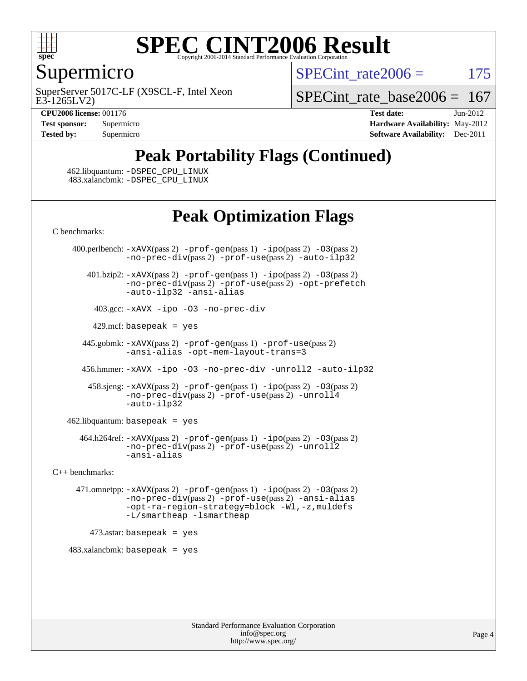

#### Supermicro

E3-1265LV2) SuperServer 5017C-LF (X9SCL-F, Intel Xeon SPECint rate $2006 = 175$ 

SPECint rate base  $2006 = 167$ 

**[CPU2006 license:](http://www.spec.org/auto/cpu2006/Docs/result-fields.html#CPU2006license)** 001176 **[Test date:](http://www.spec.org/auto/cpu2006/Docs/result-fields.html#Testdate)** Jun-2012 **[Test sponsor:](http://www.spec.org/auto/cpu2006/Docs/result-fields.html#Testsponsor)** Supermicro Supermicro **[Hardware Availability:](http://www.spec.org/auto/cpu2006/Docs/result-fields.html#HardwareAvailability)** May-2012 **[Tested by:](http://www.spec.org/auto/cpu2006/Docs/result-fields.html#Testedby)** Supermicro **[Software Availability:](http://www.spec.org/auto/cpu2006/Docs/result-fields.html#SoftwareAvailability)** Dec-2011

# **[Peak Portability Flags \(Continued\)](http://www.spec.org/auto/cpu2006/Docs/result-fields.html#PeakPortabilityFlags)**

 462.libquantum: [-DSPEC\\_CPU\\_LINUX](http://www.spec.org/cpu2006/results/res2012q3/cpu2006-20120618-23036.flags.html#b462.libquantum_peakCPORTABILITY_DSPEC_CPU_LINUX) 483.xalancbmk: [-DSPEC\\_CPU\\_LINUX](http://www.spec.org/cpu2006/results/res2012q3/cpu2006-20120618-23036.flags.html#b483.xalancbmk_peakCXXPORTABILITY_DSPEC_CPU_LINUX)

## **[Peak Optimization Flags](http://www.spec.org/auto/cpu2006/Docs/result-fields.html#PeakOptimizationFlags)**

[C benchmarks](http://www.spec.org/auto/cpu2006/Docs/result-fields.html#Cbenchmarks):

400.perlbench:  $-x$ AVX(pass 2)  $-p$ rof-gen(pass 1)  $-p$ po(pass 2)  $-03$ (pass 2) [-no-prec-div](http://www.spec.org/cpu2006/results/res2012q3/cpu2006-20120618-23036.flags.html#user_peakPASS2_CFLAGSPASS2_LDCFLAGS400_perlbench_f-no-prec-div)(pass 2) [-prof-use](http://www.spec.org/cpu2006/results/res2012q3/cpu2006-20120618-23036.flags.html#user_peakPASS2_CFLAGSPASS2_LDCFLAGS400_perlbench_prof_use_bccf7792157ff70d64e32fe3e1250b55)(pass 2) [-auto-ilp32](http://www.spec.org/cpu2006/results/res2012q3/cpu2006-20120618-23036.flags.html#user_peakCOPTIMIZE400_perlbench_f-auto-ilp32) 401.bzip2: [-xAVX](http://www.spec.org/cpu2006/results/res2012q3/cpu2006-20120618-23036.flags.html#user_peakPASS2_CFLAGSPASS2_LDCFLAGS401_bzip2_f-xAVX)(pass 2) [-prof-gen](http://www.spec.org/cpu2006/results/res2012q3/cpu2006-20120618-23036.flags.html#user_peakPASS1_CFLAGSPASS1_LDCFLAGS401_bzip2_prof_gen_e43856698f6ca7b7e442dfd80e94a8fc)(pass 1) [-ipo](http://www.spec.org/cpu2006/results/res2012q3/cpu2006-20120618-23036.flags.html#user_peakPASS2_CFLAGSPASS2_LDCFLAGS401_bzip2_f-ipo)(pass 2) [-O3](http://www.spec.org/cpu2006/results/res2012q3/cpu2006-20120618-23036.flags.html#user_peakPASS2_CFLAGSPASS2_LDCFLAGS401_bzip2_f-O3)(pass 2) [-no-prec-div](http://www.spec.org/cpu2006/results/res2012q3/cpu2006-20120618-23036.flags.html#user_peakPASS2_CFLAGSPASS2_LDCFLAGS401_bzip2_f-no-prec-div)(pass 2) [-prof-use](http://www.spec.org/cpu2006/results/res2012q3/cpu2006-20120618-23036.flags.html#user_peakPASS2_CFLAGSPASS2_LDCFLAGS401_bzip2_prof_use_bccf7792157ff70d64e32fe3e1250b55)(pass 2) [-opt-prefetch](http://www.spec.org/cpu2006/results/res2012q3/cpu2006-20120618-23036.flags.html#user_peakCOPTIMIZE401_bzip2_f-opt-prefetch) [-auto-ilp32](http://www.spec.org/cpu2006/results/res2012q3/cpu2006-20120618-23036.flags.html#user_peakCOPTIMIZE401_bzip2_f-auto-ilp32) [-ansi-alias](http://www.spec.org/cpu2006/results/res2012q3/cpu2006-20120618-23036.flags.html#user_peakCOPTIMIZE401_bzip2_f-ansi-alias) 403.gcc: [-xAVX](http://www.spec.org/cpu2006/results/res2012q3/cpu2006-20120618-23036.flags.html#user_peakCOPTIMIZE403_gcc_f-xAVX) [-ipo](http://www.spec.org/cpu2006/results/res2012q3/cpu2006-20120618-23036.flags.html#user_peakCOPTIMIZE403_gcc_f-ipo) [-O3](http://www.spec.org/cpu2006/results/res2012q3/cpu2006-20120618-23036.flags.html#user_peakCOPTIMIZE403_gcc_f-O3) [-no-prec-div](http://www.spec.org/cpu2006/results/res2012q3/cpu2006-20120618-23036.flags.html#user_peakCOPTIMIZE403_gcc_f-no-prec-div)  $429$ .mcf: basepeak = yes 445.gobmk: [-xAVX](http://www.spec.org/cpu2006/results/res2012q3/cpu2006-20120618-23036.flags.html#user_peakPASS2_CFLAGSPASS2_LDCFLAGS445_gobmk_f-xAVX)(pass 2) [-prof-gen](http://www.spec.org/cpu2006/results/res2012q3/cpu2006-20120618-23036.flags.html#user_peakPASS1_CFLAGSPASS1_LDCFLAGS445_gobmk_prof_gen_e43856698f6ca7b7e442dfd80e94a8fc)(pass 1) [-prof-use](http://www.spec.org/cpu2006/results/res2012q3/cpu2006-20120618-23036.flags.html#user_peakPASS2_CFLAGSPASS2_LDCFLAGS445_gobmk_prof_use_bccf7792157ff70d64e32fe3e1250b55)(pass 2) [-ansi-alias](http://www.spec.org/cpu2006/results/res2012q3/cpu2006-20120618-23036.flags.html#user_peakCOPTIMIZE445_gobmk_f-ansi-alias) [-opt-mem-layout-trans=3](http://www.spec.org/cpu2006/results/res2012q3/cpu2006-20120618-23036.flags.html#user_peakCOPTIMIZE445_gobmk_f-opt-mem-layout-trans_a7b82ad4bd7abf52556d4961a2ae94d5) 456.hmmer: [-xAVX](http://www.spec.org/cpu2006/results/res2012q3/cpu2006-20120618-23036.flags.html#user_peakCOPTIMIZE456_hmmer_f-xAVX) [-ipo](http://www.spec.org/cpu2006/results/res2012q3/cpu2006-20120618-23036.flags.html#user_peakCOPTIMIZE456_hmmer_f-ipo) [-O3](http://www.spec.org/cpu2006/results/res2012q3/cpu2006-20120618-23036.flags.html#user_peakCOPTIMIZE456_hmmer_f-O3) [-no-prec-div](http://www.spec.org/cpu2006/results/res2012q3/cpu2006-20120618-23036.flags.html#user_peakCOPTIMIZE456_hmmer_f-no-prec-div) [-unroll2](http://www.spec.org/cpu2006/results/res2012q3/cpu2006-20120618-23036.flags.html#user_peakCOPTIMIZE456_hmmer_f-unroll_784dae83bebfb236979b41d2422d7ec2) [-auto-ilp32](http://www.spec.org/cpu2006/results/res2012q3/cpu2006-20120618-23036.flags.html#user_peakCOPTIMIZE456_hmmer_f-auto-ilp32) 458.sjeng: [-xAVX](http://www.spec.org/cpu2006/results/res2012q3/cpu2006-20120618-23036.flags.html#user_peakPASS2_CFLAGSPASS2_LDCFLAGS458_sjeng_f-xAVX)(pass 2) [-prof-gen](http://www.spec.org/cpu2006/results/res2012q3/cpu2006-20120618-23036.flags.html#user_peakPASS1_CFLAGSPASS1_LDCFLAGS458_sjeng_prof_gen_e43856698f6ca7b7e442dfd80e94a8fc)(pass 1) [-ipo](http://www.spec.org/cpu2006/results/res2012q3/cpu2006-20120618-23036.flags.html#user_peakPASS2_CFLAGSPASS2_LDCFLAGS458_sjeng_f-ipo)(pass 2) [-O3](http://www.spec.org/cpu2006/results/res2012q3/cpu2006-20120618-23036.flags.html#user_peakPASS2_CFLAGSPASS2_LDCFLAGS458_sjeng_f-O3)(pass 2) [-no-prec-div](http://www.spec.org/cpu2006/results/res2012q3/cpu2006-20120618-23036.flags.html#user_peakPASS2_CFLAGSPASS2_LDCFLAGS458_sjeng_f-no-prec-div)(pass 2) [-prof-use](http://www.spec.org/cpu2006/results/res2012q3/cpu2006-20120618-23036.flags.html#user_peakPASS2_CFLAGSPASS2_LDCFLAGS458_sjeng_prof_use_bccf7792157ff70d64e32fe3e1250b55)(pass 2) [-unroll4](http://www.spec.org/cpu2006/results/res2012q3/cpu2006-20120618-23036.flags.html#user_peakCOPTIMIZE458_sjeng_f-unroll_4e5e4ed65b7fd20bdcd365bec371b81f) [-auto-ilp32](http://www.spec.org/cpu2006/results/res2012q3/cpu2006-20120618-23036.flags.html#user_peakCOPTIMIZE458_sjeng_f-auto-ilp32) 462.libquantum: basepeak = yes 464.h264ref: [-xAVX](http://www.spec.org/cpu2006/results/res2012q3/cpu2006-20120618-23036.flags.html#user_peakPASS2_CFLAGSPASS2_LDCFLAGS464_h264ref_f-xAVX)(pass 2) [-prof-gen](http://www.spec.org/cpu2006/results/res2012q3/cpu2006-20120618-23036.flags.html#user_peakPASS1_CFLAGSPASS1_LDCFLAGS464_h264ref_prof_gen_e43856698f6ca7b7e442dfd80e94a8fc)(pass 1) [-ipo](http://www.spec.org/cpu2006/results/res2012q3/cpu2006-20120618-23036.flags.html#user_peakPASS2_CFLAGSPASS2_LDCFLAGS464_h264ref_f-ipo)(pass 2) [-O3](http://www.spec.org/cpu2006/results/res2012q3/cpu2006-20120618-23036.flags.html#user_peakPASS2_CFLAGSPASS2_LDCFLAGS464_h264ref_f-O3)(pass 2) [-no-prec-div](http://www.spec.org/cpu2006/results/res2012q3/cpu2006-20120618-23036.flags.html#user_peakPASS2_CFLAGSPASS2_LDCFLAGS464_h264ref_f-no-prec-div)(pass 2) [-prof-use](http://www.spec.org/cpu2006/results/res2012q3/cpu2006-20120618-23036.flags.html#user_peakPASS2_CFLAGSPASS2_LDCFLAGS464_h264ref_prof_use_bccf7792157ff70d64e32fe3e1250b55)(pass 2) [-unroll2](http://www.spec.org/cpu2006/results/res2012q3/cpu2006-20120618-23036.flags.html#user_peakCOPTIMIZE464_h264ref_f-unroll_784dae83bebfb236979b41d2422d7ec2) [-ansi-alias](http://www.spec.org/cpu2006/results/res2012q3/cpu2006-20120618-23036.flags.html#user_peakCOPTIMIZE464_h264ref_f-ansi-alias) [C++ benchmarks:](http://www.spec.org/auto/cpu2006/Docs/result-fields.html#CXXbenchmarks) 471.omnetpp: [-xAVX](http://www.spec.org/cpu2006/results/res2012q3/cpu2006-20120618-23036.flags.html#user_peakPASS2_CXXFLAGSPASS2_LDCXXFLAGS471_omnetpp_f-xAVX)(pass 2) [-prof-gen](http://www.spec.org/cpu2006/results/res2012q3/cpu2006-20120618-23036.flags.html#user_peakPASS1_CXXFLAGSPASS1_LDCXXFLAGS471_omnetpp_prof_gen_e43856698f6ca7b7e442dfd80e94a8fc)(pass 1) [-ipo](http://www.spec.org/cpu2006/results/res2012q3/cpu2006-20120618-23036.flags.html#user_peakPASS2_CXXFLAGSPASS2_LDCXXFLAGS471_omnetpp_f-ipo)(pass 2) [-O3](http://www.spec.org/cpu2006/results/res2012q3/cpu2006-20120618-23036.flags.html#user_peakPASS2_CXXFLAGSPASS2_LDCXXFLAGS471_omnetpp_f-O3)(pass 2) [-no-prec-div](http://www.spec.org/cpu2006/results/res2012q3/cpu2006-20120618-23036.flags.html#user_peakPASS2_CXXFLAGSPASS2_LDCXXFLAGS471_omnetpp_f-no-prec-div)(pass 2) [-prof-use](http://www.spec.org/cpu2006/results/res2012q3/cpu2006-20120618-23036.flags.html#user_peakPASS2_CXXFLAGSPASS2_LDCXXFLAGS471_omnetpp_prof_use_bccf7792157ff70d64e32fe3e1250b55)(pass 2) [-ansi-alias](http://www.spec.org/cpu2006/results/res2012q3/cpu2006-20120618-23036.flags.html#user_peakCXXOPTIMIZE471_omnetpp_f-ansi-alias) [-opt-ra-region-strategy=block](http://www.spec.org/cpu2006/results/res2012q3/cpu2006-20120618-23036.flags.html#user_peakCXXOPTIMIZE471_omnetpp_f-opt-ra-region-strategy_a0a37c372d03933b2a18d4af463c1f69) [-Wl,-z,muldefs](http://www.spec.org/cpu2006/results/res2012q3/cpu2006-20120618-23036.flags.html#user_peakEXTRA_LDFLAGS471_omnetpp_link_force_multiple1_74079c344b956b9658436fd1b6dd3a8a) [-L/smartheap -lsmartheap](http://www.spec.org/cpu2006/results/res2012q3/cpu2006-20120618-23036.flags.html#user_peakEXTRA_LIBS471_omnetpp_SmartHeap_7c9e394a5779e1a7fec7c221e123830c)

 $473$ .astar: basepeak = yes

 $483.xalanchmk: basepeak = yes$